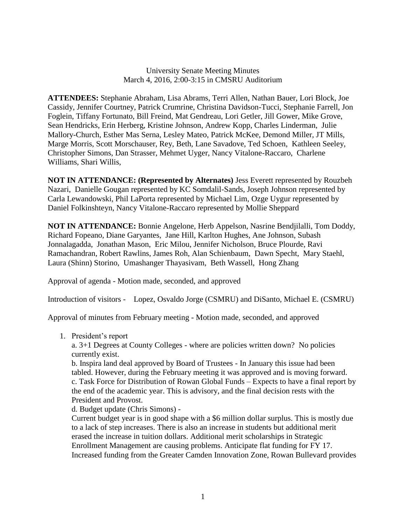University Senate Meeting Minutes March 4, 2016, 2:00-3:15 in CMSRU Auditorium

**ATTENDEES:** Stephanie Abraham, Lisa Abrams, Terri Allen, Nathan Bauer, Lori Block, Joe Cassidy, Jennifer Courtney, Patrick Crumrine, Christina Davidson-Tucci, Stephanie Farrell, Jon Foglein, Tiffany Fortunato, Bill Freind, Mat Gendreau, Lori Getler, Jill Gower, Mike Grove, Sean Hendricks, Erin Herberg, Kristine Johnson, Andrew Kopp, Charles Linderman, Julie Mallory-Church, Esther Mas Serna, Lesley Mateo, Patrick McKee, Demond Miller, JT Mills, Marge Morris, Scott Morschauser, Rey, Beth, Lane Savadove, Ted Schoen, Kathleen Seeley, Christopher Simons, Dan Strasser, Mehmet Uyger, Nancy Vitalone-Raccaro, Charlene Williams, Shari Willis,

**NOT IN ATTENDANCE: (Represented by Alternates)** Jess Everett represented by Rouzbeh Nazari, Danielle Gougan represented by KC Somdalil-Sands, Joseph Johnson represented by Carla Lewandowski, Phil LaPorta represented by Michael Lim, Ozge Uygur represented by Daniel Folkinshteyn, Nancy Vitalone-Raccaro represented by Mollie Sheppard

**NOT IN ATTENDANCE:** Bonnie Angelone, Herb Appelson, Nasrine Bendjilalli, Tom Doddy, Richard Fopeano, Diane Garyantes, Jane Hill, Karlton Hughes, Ane Johnson, Subash Jonnalagadda, Jonathan Mason, Eric Milou, Jennifer Nicholson, Bruce Plourde, Ravi Ramachandran, Robert Rawlins, James Roh, Alan Schienbaum, Dawn Specht, Mary Staehl, Laura (Shinn) Storino, Umashanger Thayasivam, Beth Wassell, Hong Zhang

Approval of agenda - Motion made, seconded, and approved

Introduction of visitors - Lopez, Osvaldo Jorge (CSMRU) and DiSanto, Michael E. (CSMRU)

Approval of minutes from February meeting - Motion made, seconded, and approved

1. President's report

a. 3+1 Degrees at County Colleges - where are policies written down? No policies currently exist.

b. Inspira land deal approved by Board of Trustees - In January this issue had been tabled. However, during the February meeting it was approved and is moving forward. c. Task Force for Distribution of Rowan Global Funds – Expects to have a final report by the end of the academic year. This is advisory, and the final decision rests with the President and Provost.

d. Budget update (Chris Simons) -

Current budget year is in good shape with a \$6 million dollar surplus. This is mostly due to a lack of step increases. There is also an increase in students but additional merit erased the increase in tuition dollars. Additional merit scholarships in Strategic Enrollment Management are causing problems. Anticipate flat funding for FY 17. Increased funding from the Greater Camden Innovation Zone, Rowan Bullevard provides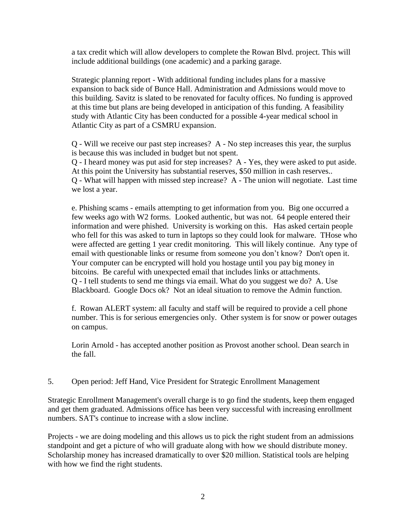a tax credit which will allow developers to complete the Rowan Blvd. project. This will include additional buildings (one academic) and a parking garage.

Strategic planning report - With additional funding includes plans for a massive expansion to back side of Bunce Hall. Administration and Admissions would move to this building. Savitz is slated to be renovated for faculty offices. No funding is approved at this time but plans are being developed in anticipation of this funding. A feasibility study with Atlantic City has been conducted for a possible 4-year medical school in Atlantic City as part of a CSMRU expansion.

Q - Will we receive our past step increases? A - No step increases this year, the surplus is because this was included in budget but not spent.

Q - I heard money was put asid for step increases? A - Yes, they were asked to put aside. At this point the University has substantial reserves, \$50 million in cash reserves.. Q - What will happen with missed step increase? A - The union will negotiate. Last time we lost a year.

e. Phishing scams - emails attempting to get information from you. Big one occurred a few weeks ago with W2 forms. Looked authentic, but was not. 64 people entered their information and were phished. University is working on this. Has asked certain people who fell for this was asked to turn in laptops so they could look for malware. THose who were affected are getting 1 year credit monitoring. This will likely continue. Any type of email with questionable links or resume from someone you don't know? Don't open it. Your computer can be encrypted will hold you hostage until you pay big money in bitcoins. Be careful with unexpected email that includes links or attachments. Q - I tell students to send me things via email. What do you suggest we do? A. Use Blackboard. Google Docs ok? Not an ideal situation to remove the Admin function.

f. Rowan ALERT system: all faculty and staff will be required to provide a cell phone number. This is for serious emergencies only. Other system is for snow or power outages on campus.

Lorin Arnold - has accepted another position as Provost another school. Dean search in the fall.

5. Open period: Jeff Hand, Vice President for Strategic Enrollment Management

Strategic Enrollment Management's overall charge is to go find the students, keep them engaged and get them graduated. Admissions office has been very successful with increasing enrollment numbers. SAT's continue to increase with a slow incline.

Projects - we are doing modeling and this allows us to pick the right student from an admissions standpoint and get a picture of who will graduate along with how we should distribute money. Scholarship money has increased dramatically to over \$20 million. Statistical tools are helping with how we find the right students.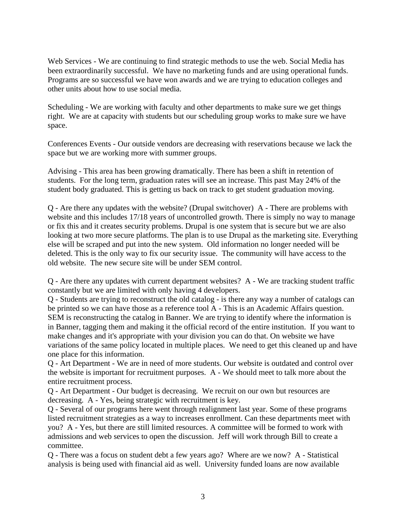Web Services - We are continuing to find strategic methods to use the web. Social Media has been extraordinarily successful. We have no marketing funds and are using operational funds. Programs are so successful we have won awards and we are trying to education colleges and other units about how to use social media.

Scheduling - We are working with faculty and other departments to make sure we get things right. We are at capacity with students but our scheduling group works to make sure we have space.

Conferences Events - Our outside vendors are decreasing with reservations because we lack the space but we are working more with summer groups.

Advising - This area has been growing dramatically. There has been a shift in retention of students. For the long term, graduation rates will see an increase. This past May 24% of the student body graduated. This is getting us back on track to get student graduation moving.

Q - Are there any updates with the website? (Drupal switchover) A - There are problems with website and this includes 17/18 years of uncontrolled growth. There is simply no way to manage or fix this and it creates security problems. Drupal is one system that is secure but we are also looking at two more secure platforms. The plan is to use Drupal as the marketing site. Everything else will be scraped and put into the new system. Old information no longer needed will be deleted. This is the only way to fix our security issue. The community will have access to the old website. The new secure site will be under SEM control.

Q - Are there any updates with current department websites? A - We are tracking student traffic constantly but we are limited with only having 4 developers.

Q - Students are trying to reconstruct the old catalog - is there any way a number of catalogs can be printed so we can have those as a reference tool A - This is an Academic Affairs question. SEM is reconstructing the catalog in Banner. We are trying to identify where the information is in Banner, tagging them and making it the official record of the entire institution. If you want to make changes and it's appropriate with your division you can do that. On website we have variations of the same policy located in multiple places. We need to get this cleaned up and have one place for this information.

Q - Art Department - We are in need of more students. Our website is outdated and control over the website is important for recruitment purposes. A - We should meet to talk more about the entire recruitment process.

Q - Art Department - Our budget is decreasing. We recruit on our own but resources are decreasing. A - Yes, being strategic with recruitment is key.

Q - Several of our programs here went through realignment last year. Some of these programs listed recruitment strategies as a way to increases enrollment. Can these departments meet with you? A - Yes, but there are still limited resources. A committee will be formed to work with admissions and web services to open the discussion. Jeff will work through Bill to create a committee.

Q - There was a focus on student debt a few years ago? Where are we now? A - Statistical analysis is being used with financial aid as well. University funded loans are now available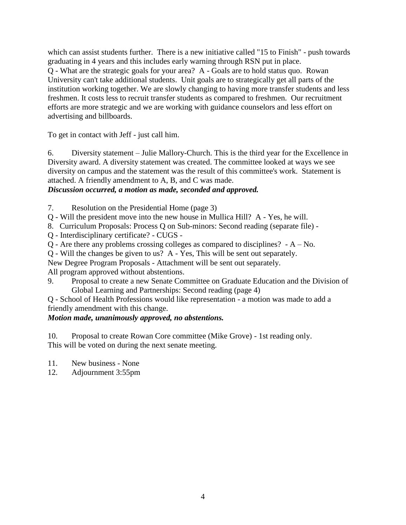which can assist students further. There is a new initiative called "15 to Finish" - push towards graduating in 4 years and this includes early warning through RSN put in place. Q - What are the strategic goals for your area? A - Goals are to hold status quo. Rowan University can't take additional students. Unit goals are to strategically get all parts of the institution working together. We are slowly changing to having more transfer students and less freshmen. It costs less to recruit transfer students as compared to freshmen. Our recruitment efforts are more strategic and we are working with guidance counselors and less effort on advertising and billboards.

To get in contact with Jeff - just call him.

6. Diversity statement – Julie Mallory-Church. This is the third year for the Excellence in Diversity award. A diversity statement was created. The committee looked at ways we see diversity on campus and the statement was the result of this committee's work. Statement is attached. A friendly amendment to A, B, and C was made.

# *Discussion occurred, a motion as made, seconded and approved.*

- 7. Resolution on the Presidential Home (page 3)
- Q Will the president move into the new house in Mullica Hill? A Yes, he will.
- 8. Curriculum Proposals: Process Q on Sub-minors: Second reading (separate file) -
- Q Interdisciplinary certificate? CUGS -
- Q Are there any problems crossing colleges as compared to disciplines? A No.
- Q Will the changes be given to us? A Yes, This will be sent out separately.
- New Degree Program Proposals Attachment will be sent out separately.

All program approved without abstentions.

9. Proposal to create a new Senate Committee on Graduate Education and the Division of Global Learning and Partnerships: Second reading (page 4)

Q - School of Health Professions would like representation - a motion was made to add a friendly amendment with this change.

## *Motion made, unanimously approved, no abstentions.*

10. Proposal to create Rowan Core committee (Mike Grove) - 1st reading only. This will be voted on during the next senate meeting.

- 11. New business None
- 12. Adjournment 3:55pm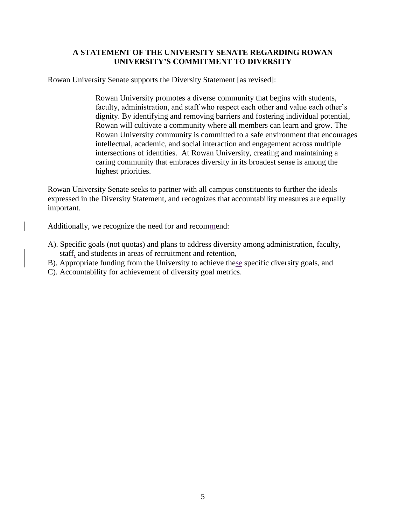## **A STATEMENT OF THE UNIVERSITY SENATE REGARDING ROWAN UNIVERSITY'S COMMITMENT TO DIVERSITY**

Rowan University Senate supports the Diversity Statement [as revised]:

Rowan University promotes a diverse community that begins with students, faculty, administration, and staff who respect each other and value each other's dignity. By identifying and removing barriers and fostering individual potential, Rowan will cultivate a community where all members can learn and grow. The Rowan University community is committed to a safe environment that encourages intellectual, academic, and social interaction and engagement across multiple intersections of identities. At Rowan University, creating and maintaining a caring community that embraces diversity in its broadest sense is among the highest priorities.

Rowan University Senate seeks to partner with all campus constituents to further the ideals expressed in the Diversity Statement, and recognizes that accountability measures are equally important.

Additionally, we recognize the need for and recommend:

- A). Specific goals (not quotas) and plans to address diversity among administration, faculty, staff, and students in areas of recruitment and retention,
- B). Appropriate funding from the University to achieve these specific diversity goals, and
- C). Accountability for achievement of diversity goal metrics.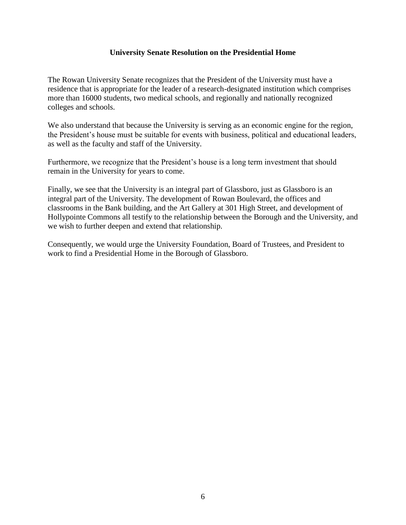#### **University Senate Resolution on the Presidential Home**

The Rowan University Senate recognizes that the President of the University must have a residence that is appropriate for the leader of a research-designated institution which comprises more than 16000 students, two medical schools, and regionally and nationally recognized colleges and schools.

We also understand that because the University is serving as an economic engine for the region, the President's house must be suitable for events with business, political and educational leaders, as well as the faculty and staff of the University.

Furthermore, we recognize that the President's house is a long term investment that should remain in the University for years to come.

Finally, we see that the University is an integral part of Glassboro, just as Glassboro is an integral part of the University. The development of Rowan Boulevard, the offices and classrooms in the Bank building, and the Art Gallery at 301 High Street, and development of Hollypointe Commons all testify to the relationship between the Borough and the University, and we wish to further deepen and extend that relationship.

Consequently, we would urge the University Foundation, Board of Trustees, and President to work to find a Presidential Home in the Borough of Glassboro.